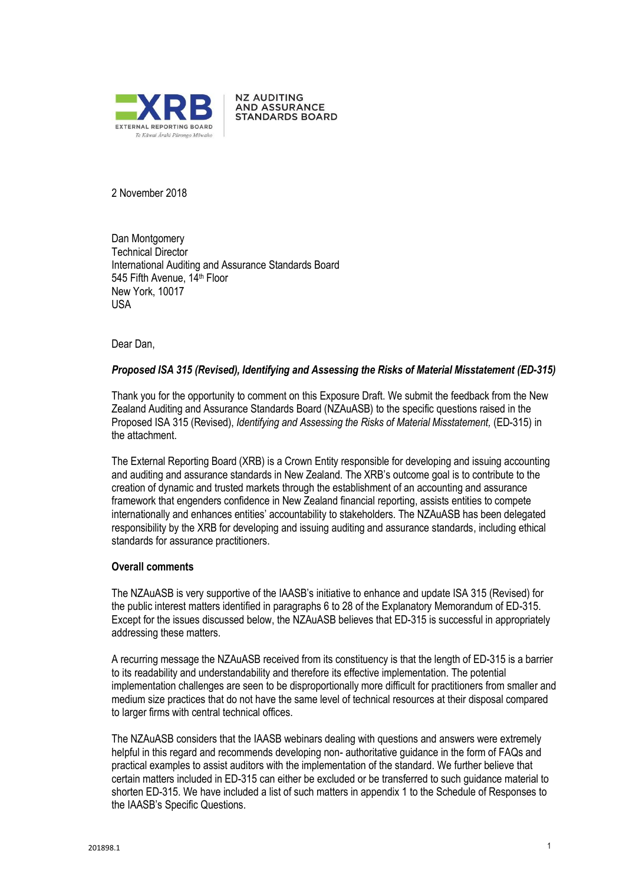

**NZ AUDITING AND ASSURANCE STANDARDS BOARD** 

2 November 2018

Dan Montgomery Technical Director International Auditing and Assurance Standards Board 545 Fifth Avenue, 14 th Floor New York, 10017 USA

Dear Dan,

#### *Proposed ISA 315 (Revised), Identifying and Assessing the Risks of Material Misstatement (ED-315)*

Thank you for the opportunity to comment on this Exposure Draft. We submit the feedback from the New Zealand Auditing and Assurance Standards Board (NZAuASB) to the specific questions raised in the Proposed ISA 315 (Revised), *Identifying and Assessing the Risks of Material Misstatement,* (ED-315) in the attachment.

The External Reporting Board (XRB) is a Crown Entity responsible for developing and issuing accounting and auditing and assurance standards in New Zealand. The XRB's outcome goal is to contribute to the creation of dynamic and trusted markets through the establishment of an accounting and assurance framework that engenders confidence in New Zealand financial reporting, assists entities to compete internationally and enhances entities' accountability to stakeholders. The NZAuASB has been delegated responsibility by the XRB for developing and issuing auditing and assurance standards, including ethical standards for assurance practitioners.

#### **Overall comments**

The NZAuASB is very supportive of the IAASB's initiative to enhance and update ISA 315 (Revised) for the public interest matters identified in paragraphs 6 to 28 of the Explanatory Memorandum of ED-315. Except for the issues discussed below, the NZAuASB believes that ED-315 is successful in appropriately addressing these matters.

A recurring message the NZAuASB received from its constituency is that the length of ED-315 is a barrier to its readability and understandability and therefore its effective implementation. The potential implementation challenges are seen to be disproportionally more difficult for practitioners from smaller and medium size practices that do not have the same level of technical resources at their disposal compared to larger firms with central technical offices.

The NZAuASB considers that the IAASB webinars dealing with questions and answers were extremely helpful in this regard and recommends developing non- authoritative guidance in the form of FAQs and practical examples to assist auditors with the implementation of the standard. We further believe that certain matters included in ED-315 can either be excluded or be transferred to such guidance material to shorten ED-315. We have included a list of such matters in appendix 1 to the Schedule of Responses to the IAASB's Specific Questions.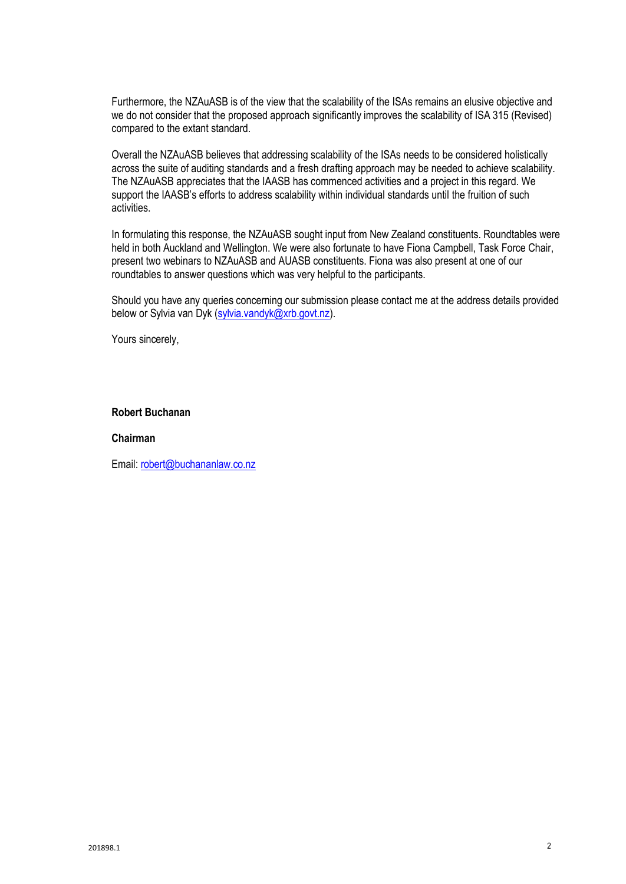Furthermore, the NZAuASB is of the view that the scalability of the ISAs remains an elusive objective and we do not consider that the proposed approach significantly improves the scalability of ISA 315 (Revised) compared to the extant standard.

Overall the NZAuASB believes that addressing scalability of the ISAs needs to be considered holistically across the suite of auditing standards and a fresh drafting approach may be needed to achieve scalability. The NZAuASB appreciates that the IAASB has commenced activities and a project in this regard. We support the IAASB's efforts to address scalability within individual standards until the fruition of such activities.

In formulating this response, the NZAuASB sought input from New Zealand constituents. Roundtables were held in both Auckland and Wellington. We were also fortunate to have Fiona Campbell, Task Force Chair, present two webinars to NZAuASB and AUASB constituents. Fiona was also present at one of our roundtables to answer questions which was very helpful to the participants.

Should you have any queries concerning our submission please contact me at the address details provided below or Sylvia van Dyk (sylvia.vandyk@xrb.govt.nz).

Yours sincerely,

#### **Robert Buchanan**

#### **Chairman**

Email: [robert@buchananlaw.co.nz](mailto:robert@buchananlaw.co.nz)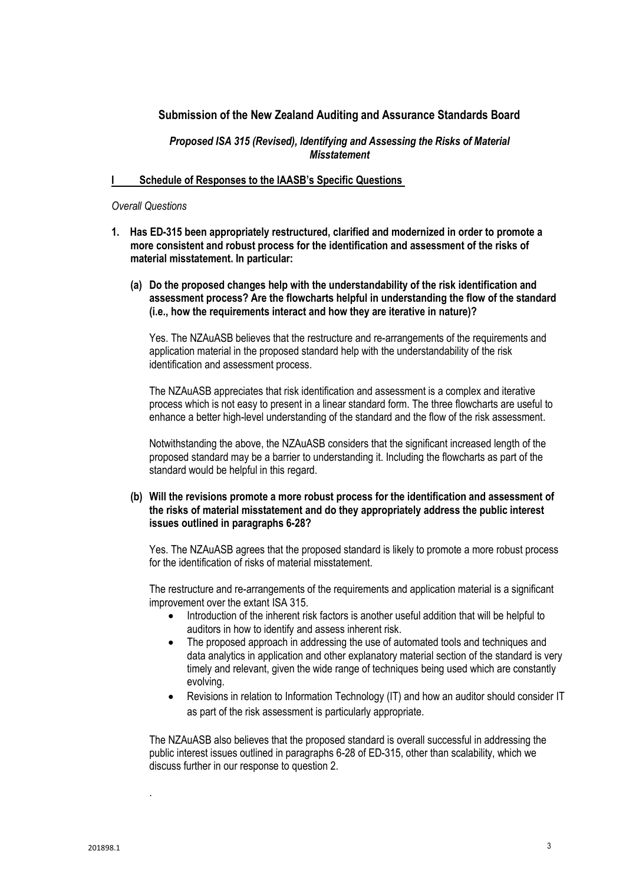## **Submission of the New Zealand Auditing and Assurance Standards Board**

## *Proposed ISA 315 (Revised), Identifying and Assessing the Risks of Material Misstatement*

#### **I Schedule of Responses to the IAASB's Specific Questions**

#### *Overall Questions*

- **1. Has ED-315 been appropriately restructured, clarified and modernized in order to promote a more consistent and robust process for the identification and assessment of the risks of material misstatement. In particular:**
	- **(a) Do the proposed changes help with the understandability of the risk identification and assessment process? Are the flowcharts helpful in understanding the flow of the standard (i.e., how the requirements interact and how they are iterative in nature)?**

Yes. The NZAuASB believes that the restructure and re-arrangements of the requirements and application material in the proposed standard help with the understandability of the risk identification and assessment process.

The NZAuASB appreciates that risk identification and assessment is a complex and iterative process which is not easy to present in a linear standard form. The three flowcharts are useful to enhance a better high-level understanding of the standard and the flow of the risk assessment.

Notwithstanding the above, the NZAuASB considers that the significant increased length of the proposed standard may be a barrier to understanding it. Including the flowcharts as part of the standard would be helpful in this regard.

#### **(b) Will the revisions promote a more robust process for the identification and assessment of the risks of material misstatement and do they appropriately address the public interest issues outlined in paragraphs 6-28?**

Yes. The NZAuASB agrees that the proposed standard is likely to promote a more robust process for the identification of risks of material misstatement.

The restructure and re-arrangements of the requirements and application material is a significant improvement over the extant ISA 315.

- Introduction of the inherent risk factors is another useful addition that will be helpful to auditors in how to identify and assess inherent risk.
- The proposed approach in addressing the use of automated tools and techniques and data analytics in application and other explanatory material section of the standard is very timely and relevant, given the wide range of techniques being used which are constantly evolving.
- Revisions in relation to Information Technology (IT) and how an auditor should consider IT as part of the risk assessment is particularly appropriate.

The NZAuASB also believes that the proposed standard is overall successful in addressing the public interest issues outlined in paragraphs 6-28 of ED-315, other than scalability, which we discuss further in our response to question 2.

.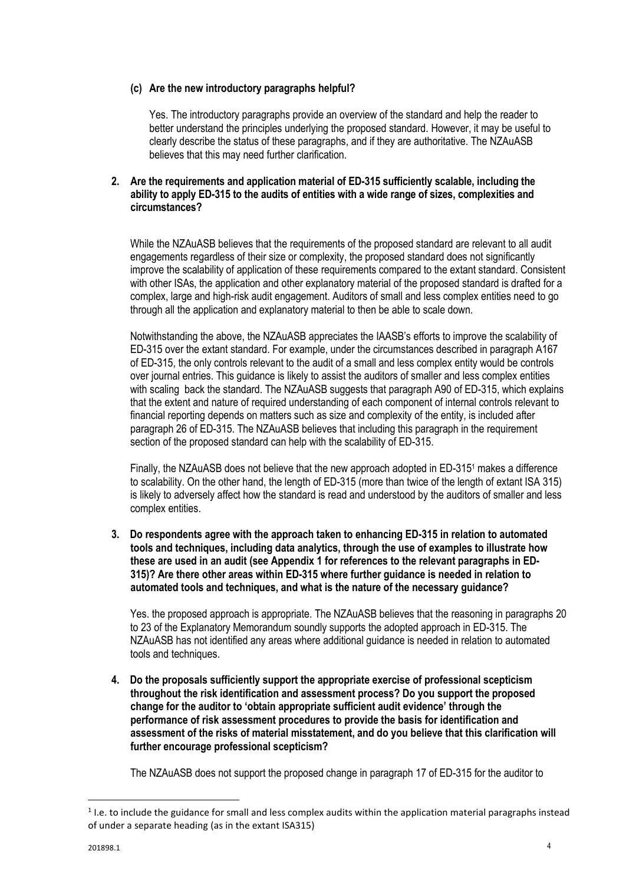## **(c) Are the new introductory paragraphs helpful?**

Yes. The introductory paragraphs provide an overview of the standard and help the reader to better understand the principles underlying the proposed standard. However, it may be useful to clearly describe the status of these paragraphs, and if they are authoritative. The NZAuASB believes that this may need further clarification.

## **2. Are the requirements and application material of ED-315 sufficiently scalable, including the ability to apply ED-315 to the audits of entities with a wide range of sizes, complexities and circumstances?**

While the NZAuASB believes that the requirements of the proposed standard are relevant to all audit engagements regardless of their size or complexity, the proposed standard does not significantly improve the scalability of application of these requirements compared to the extant standard. Consistent with other ISAs, the application and other explanatory material of the proposed standard is drafted for a complex, large and high-risk audit engagement. Auditors of small and less complex entities need to go through all the application and explanatory material to then be able to scale down.

Notwithstanding the above, the NZAuASB appreciates the IAASB's efforts to improve the scalability of ED-315 over the extant standard. For example, under the circumstances described in paragraph A167 of ED-315, the only controls relevant to the audit of a small and less complex entity would be controls over journal entries. This guidance is likely to assist the auditors of smaller and less complex entities with scaling back the standard. The NZAuASB suggests that paragraph A90 of ED-315, which explains that the extent and nature of required understanding of each component of internal controls relevant to financial reporting depends on matters such as size and complexity of the entity, is included after paragraph 26 of ED-315. The NZAuASB believes that including this paragraph in the requirement section of the proposed standard can help with the scalability of ED-315.

Finally, the NZAuASB does not believe that the new approach adopted in ED-315<sup>1</sup> makes a difference to scalability. On the other hand, the length of ED-315 (more than twice of the length of extant ISA 315) is likely to adversely affect how the standard is read and understood by the auditors of smaller and less complex entities.

**3. Do respondents agree with the approach taken to enhancing ED-315 in relation to automated tools and techniques, including data analytics, through the use of examples to illustrate how these are used in an audit (see Appendix 1 for references to the relevant paragraphs in ED-315)? Are there other areas within ED-315 where further guidance is needed in relation to automated tools and techniques, and what is the nature of the necessary guidance?** 

Yes. the proposed approach is appropriate. The NZAuASB believes that the reasoning in paragraphs 20 to 23 of the Explanatory Memorandum soundly supports the adopted approach in ED-315. The NZAuASB has not identified any areas where additional guidance is needed in relation to automated tools and techniques.

**4. Do the proposals sufficiently support the appropriate exercise of professional scepticism throughout the risk identification and assessment process? Do you support the proposed change for the auditor to 'obtain appropriate sufficient audit evidence' through the performance of risk assessment procedures to provide the basis for identification and assessment of the risks of material misstatement, and do you believe that this clarification will further encourage professional scepticism?** 

The NZAuASB does not support the proposed change in paragraph 17 of ED-315 for the auditor to

 $\ddot{\phantom{a}}$ 

<sup>&</sup>lt;sup>1</sup> I.e. to include the guidance for small and less complex audits within the application material paragraphs instead of under a separate heading (as in the extant ISA315)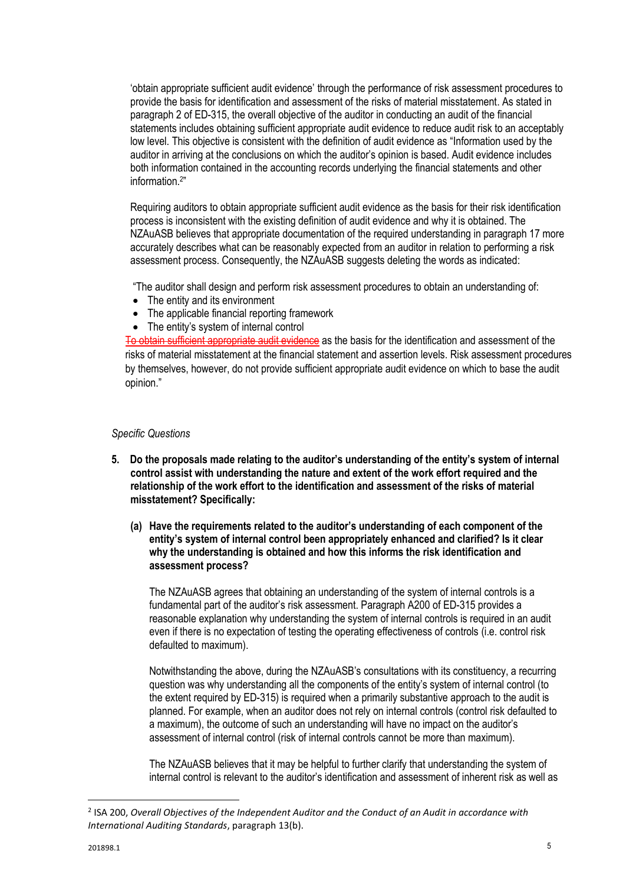'obtain appropriate sufficient audit evidence' through the performance of risk assessment procedures to provide the basis for identification and assessment of the risks of material misstatement. As stated in paragraph 2 of ED-315, the overall objective of the auditor in conducting an audit of the financial statements includes obtaining sufficient appropriate audit evidence to reduce audit risk to an acceptably low level. This objective is consistent with the definition of audit evidence as "Information used by the auditor in arriving at the conclusions on which the auditor's opinion is based. Audit evidence includes both information contained in the accounting records underlying the financial statements and other information.<sup>2</sup> "

Requiring auditors to obtain appropriate sufficient audit evidence as the basis for their risk identification process is inconsistent with the existing definition of audit evidence and why it is obtained. The NZAuASB believes that appropriate documentation of the required understanding in paragraph 17 more accurately describes what can be reasonably expected from an auditor in relation to performing a risk assessment process. Consequently, the NZAuASB suggests deleting the words as indicated:

"The auditor shall design and perform risk assessment procedures to obtain an understanding of:

- The entity and its environment
- The applicable financial reporting framework
- The entity's system of internal control

To obtain sufficient appropriate audit evidence as the basis for the identification and assessment of the risks of material misstatement at the financial statement and assertion levels. Risk assessment procedures by themselves, however, do not provide sufficient appropriate audit evidence on which to base the audit opinion."

#### *Specific Questions*

- **5. Do the proposals made relating to the auditor's understanding of the entity's system of internal control assist with understanding the nature and extent of the work effort required and the relationship of the work effort to the identification and assessment of the risks of material misstatement? Specifically:** 
	- **(a) Have the requirements related to the auditor's understanding of each component of the entity's system of internal control been appropriately enhanced and clarified? Is it clear why the understanding is obtained and how this informs the risk identification and assessment process?**

The NZAuASB agrees that obtaining an understanding of the system of internal controls is a fundamental part of the auditor's risk assessment. Paragraph A200 of ED-315 provides a reasonable explanation why understanding the system of internal controls is required in an audit even if there is no expectation of testing the operating effectiveness of controls (i.e. control risk defaulted to maximum).

Notwithstanding the above, during the NZAuASB's consultations with its constituency, a recurring question was why understanding all the components of the entity's system of internal control (to the extent required by ED-315) is required when a primarily substantive approach to the audit is planned. For example, when an auditor does not rely on internal controls (control risk defaulted to a maximum), the outcome of such an understanding will have no impact on the auditor's assessment of internal control (risk of internal controls cannot be more than maximum).

The NZAuASB believes that it may be helpful to further clarify that understanding the system of internal control is relevant to the auditor's identification and assessment of inherent risk as well as

 $\ddot{\phantom{a}}$ 

<sup>2</sup> ISA 200, *Overall Objectives of the Independent Auditor and the Conduct of an Audit in accordance with International Auditing Standards*, paragraph 13(b).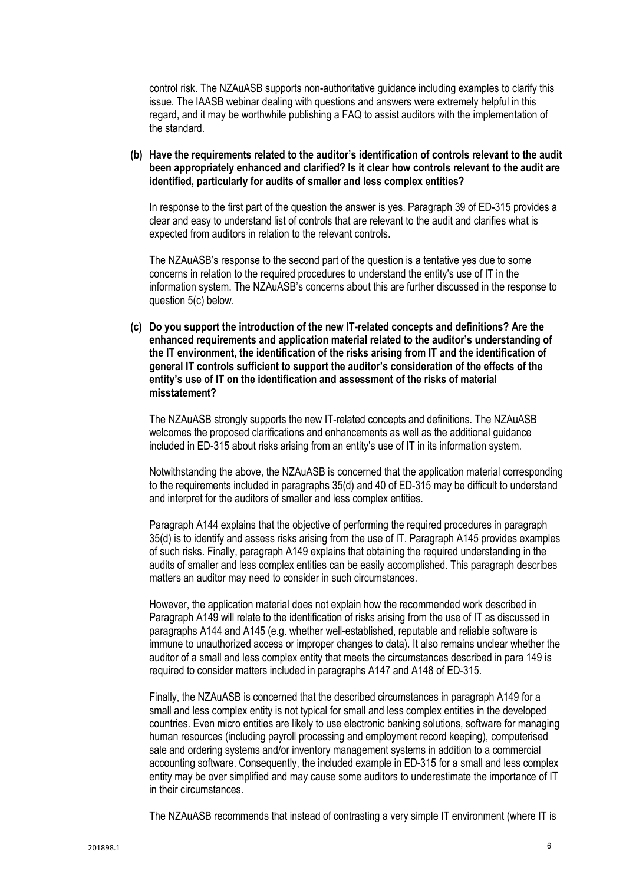control risk. The NZAuASB supports non-authoritative guidance including examples to clarify this issue. The IAASB webinar dealing with questions and answers were extremely helpful in this regard, and it may be worthwhile publishing a FAQ to assist auditors with the implementation of the standard.

**(b) Have the requirements related to the auditor's identification of controls relevant to the audit been appropriately enhanced and clarified? Is it clear how controls relevant to the audit are identified, particularly for audits of smaller and less complex entities?**

In response to the first part of the question the answer is yes. Paragraph 39 of ED-315 provides a clear and easy to understand list of controls that are relevant to the audit and clarifies what is expected from auditors in relation to the relevant controls.

The NZAuASB's response to the second part of the question is a tentative yes due to some concerns in relation to the required procedures to understand the entity's use of IT in the information system. The NZAuASB's concerns about this are further discussed in the response to question 5(c) below.

**(c) Do you support the introduction of the new IT-related concepts and definitions? Are the enhanced requirements and application material related to the auditor's understanding of the IT environment, the identification of the risks arising from IT and the identification of general IT controls sufficient to support the auditor's consideration of the effects of the entity's use of IT on the identification and assessment of the risks of material misstatement?**

The NZAuASB strongly supports the new IT-related concepts and definitions. The NZAuASB welcomes the proposed clarifications and enhancements as well as the additional guidance included in ED-315 about risks arising from an entity's use of IT in its information system.

Notwithstanding the above, the NZAuASB is concerned that the application material corresponding to the requirements included in paragraphs 35(d) and 40 of ED-315 may be difficult to understand and interpret for the auditors of smaller and less complex entities.

Paragraph A144 explains that the objective of performing the required procedures in paragraph 35(d) is to identify and assess risks arising from the use of IT. Paragraph A145 provides examples of such risks. Finally, paragraph A149 explains that obtaining the required understanding in the audits of smaller and less complex entities can be easily accomplished. This paragraph describes matters an auditor may need to consider in such circumstances.

However, the application material does not explain how the recommended work described in Paragraph A149 will relate to the identification of risks arising from the use of IT as discussed in paragraphs A144 and A145 (e.g. whether well-established, reputable and reliable software is immune to unauthorized access or improper changes to data). It also remains unclear whether the auditor of a small and less complex entity that meets the circumstances described in para 149 is required to consider matters included in paragraphs A147 and A148 of ED-315.

Finally, the NZAuASB is concerned that the described circumstances in paragraph A149 for a small and less complex entity is not typical for small and less complex entities in the developed countries. Even micro entities are likely to use electronic banking solutions, software for managing human resources (including payroll processing and employment record keeping), computerised sale and ordering systems and/or inventory management systems in addition to a commercial accounting software. Consequently, the included example in ED-315 for a small and less complex entity may be over simplified and may cause some auditors to underestimate the importance of IT in their circumstances.

The NZAuASB recommends that instead of contrasting a very simple IT environment (where IT is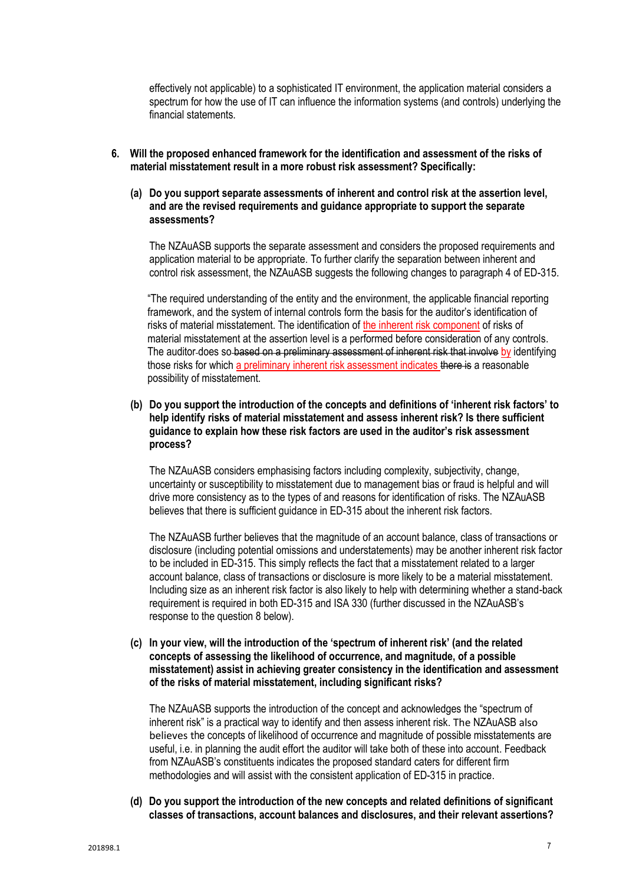effectively not applicable) to a sophisticated IT environment, the application material considers a spectrum for how the use of IT can influence the information systems (and controls) underlying the financial statements.

- **6. Will the proposed enhanced framework for the identification and assessment of the risks of material misstatement result in a more robust risk assessment? Specifically:** 
	- **(a) Do you support separate assessments of inherent and control risk at the assertion level, and are the revised requirements and guidance appropriate to support the separate assessments?**

The NZAuASB supports the separate assessment and considers the proposed requirements and application material to be appropriate. To further clarify the separation between inherent and control risk assessment, the NZAuASB suggests the following changes to paragraph 4 of ED-315.

"The required understanding of the entity and the environment, the applicable financial reporting framework, and the system of internal controls form the basis for the auditor's identification of risks of material misstatement. The identification of the inherent risk component of risks of material misstatement at the assertion level is a performed before consideration of any controls. The auditor-does so-based on a preliminary assessment of inherent risk that involve by identifying those risks for which a preliminary inherent risk assessment indicates there is a reasonable possibility of misstatement.

**(b) Do you support the introduction of the concepts and definitions of 'inherent risk factors' to help identify risks of material misstatement and assess inherent risk? Is there sufficient guidance to explain how these risk factors are used in the auditor's risk assessment process?**

The NZAuASB considers emphasising factors including complexity, subjectivity, change, uncertainty or susceptibility to misstatement due to management bias or fraud is helpful and will drive more consistency as to the types of and reasons for identification of risks. The NZAuASB believes that there is sufficient guidance in ED-315 about the inherent risk factors.

The NZAuASB further believes that the magnitude of an account balance, class of transactions or disclosure (including potential omissions and understatements) may be another inherent risk factor to be included in ED-315. This simply reflects the fact that a misstatement related to a larger account balance, class of transactions or disclosure is more likely to be a material misstatement. Including size as an inherent risk factor is also likely to help with determining whether a stand-back requirement is required in both ED-315 and ISA 330 (further discussed in the NZAuASB's response to the question 8 below).

**(c) In your view, will the introduction of the 'spectrum of inherent risk' (and the related concepts of assessing the likelihood of occurrence, and magnitude, of a possible misstatement) assist in achieving greater consistency in the identification and assessment of the risks of material misstatement, including significant risks?**

The NZAuASB supports the introduction of the concept and acknowledges the "spectrum of inherent risk" is a practical way to identify and then assess inherent risk. The NZAuASB also believes the concepts of likelihood of occurrence and magnitude of possible misstatements are useful, i.e. in planning the audit effort the auditor will take both of these into account. Feedback from NZAuASB's constituents indicates the proposed standard caters for different firm methodologies and will assist with the consistent application of ED-315 in practice.

**(d) Do you support the introduction of the new concepts and related definitions of significant classes of transactions, account balances and disclosures, and their relevant assertions?**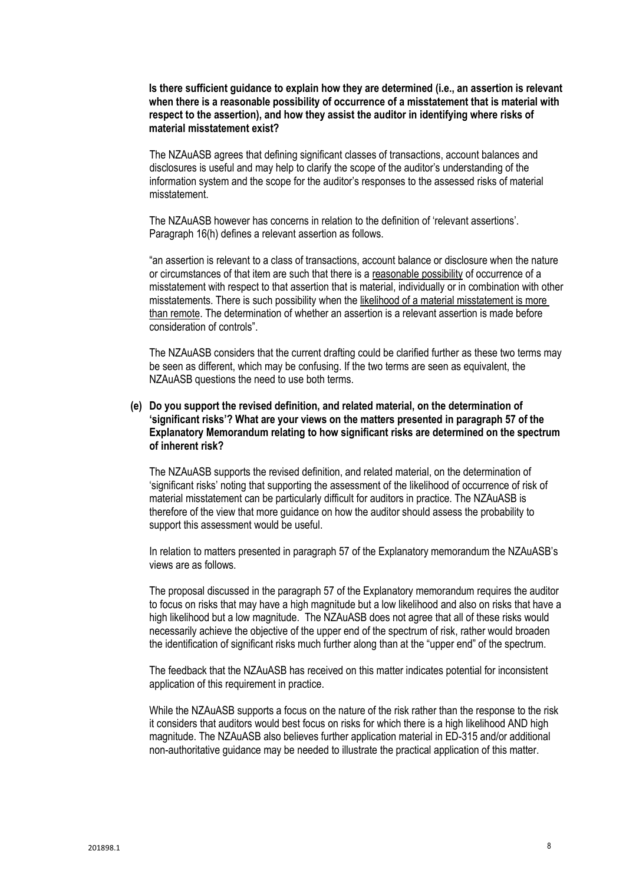**Is there sufficient guidance to explain how they are determined (i.e., an assertion is relevant when there is a reasonable possibility of occurrence of a misstatement that is material with respect to the assertion), and how they assist the auditor in identifying where risks of material misstatement exist?**

The NZAuASB agrees that defining significant classes of transactions, account balances and disclosures is useful and may help to clarify the scope of the auditor's understanding of the information system and the scope for the auditor's responses to the assessed risks of material misstatement.

The NZAuASB however has concerns in relation to the definition of 'relevant assertions'. Paragraph 16(h) defines a relevant assertion as follows.

"an assertion is relevant to a class of transactions, account balance or disclosure when the nature or circumstances of that item are such that there is a reasonable possibility of occurrence of a misstatement with respect to that assertion that is material, individually or in combination with other misstatements. There is such possibility when the likelihood of a material misstatement is more than remote. The determination of whether an assertion is a relevant assertion is made before consideration of controls".

The NZAuASB considers that the current drafting could be clarified further as these two terms may be seen as different, which may be confusing. If the two terms are seen as equivalent, the NZAuASB questions the need to use both terms.

## **(e) Do you support the revised definition, and related material, on the determination of 'significant risks'? What are your views on the matters presented in paragraph 57 of the Explanatory Memorandum relating to how significant risks are determined on the spectrum of inherent risk?**

The NZAuASB supports the revised definition, and related material, on the determination of 'significant risks' noting that supporting the assessment of the likelihood of occurrence of risk of material misstatement can be particularly difficult for auditors in practice. The NZAuASB is therefore of the view that more guidance on how the auditor should assess the probability to support this assessment would be useful.

In relation to matters presented in paragraph 57 of the Explanatory memorandum the NZAuASB's views are as follows.

The proposal discussed in the paragraph 57 of the Explanatory memorandum requires the auditor to focus on risks that may have a high magnitude but a low likelihood and also on risks that have a high likelihood but a low magnitude. The NZAuASB does not agree that all of these risks would necessarily achieve the objective of the upper end of the spectrum of risk, rather would broaden the identification of significant risks much further along than at the "upper end" of the spectrum.

The feedback that the NZAuASB has received on this matter indicates potential for inconsistent application of this requirement in practice.

While the NZAuASB supports a focus on the nature of the risk rather than the response to the risk it considers that auditors would best focus on risks for which there is a high likelihood AND high magnitude. The NZAuASB also believes further application material in ED-315 and/or additional non-authoritative guidance may be needed to illustrate the practical application of this matter.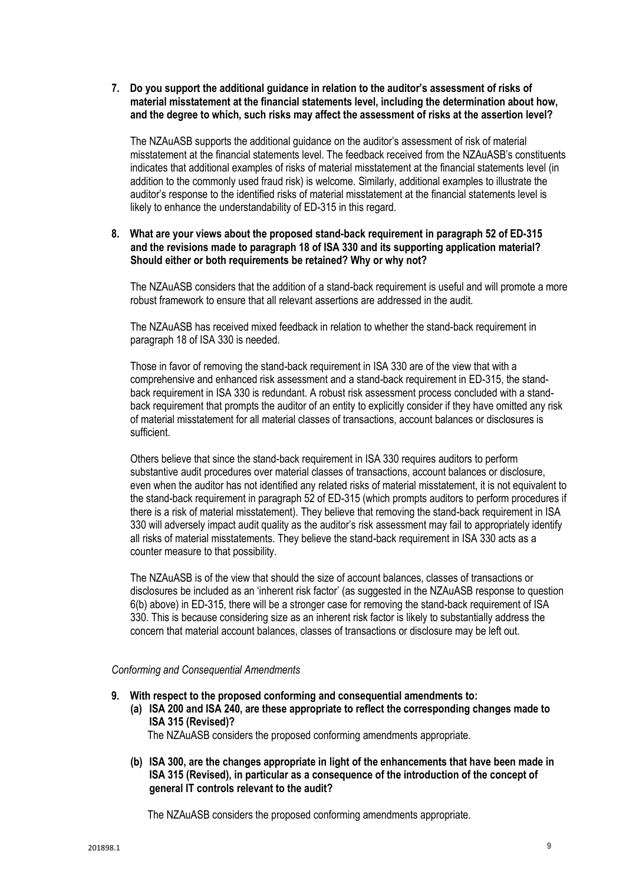**7. Do you support the additional guidance in relation to the auditor's assessment of risks of material misstatement at the financial statements level, including the determination about how, and the degree to which, such risks may affect the assessment of risks at the assertion level?**

The NZAuASB supports the additional guidance on the auditor's assessment of risk of material misstatement at the financial statements level. The feedback received from the NZAuASB's constituents indicates that additional examples of risks of material misstatement at the financial statements level (in addition to the commonly used fraud risk) is welcome. Similarly, additional examples to illustrate the auditor's response to the identified risks of material misstatement at the financial statements level is likely to enhance the understandability of ED-315 in this regard.

## **8. What are your views about the proposed stand-back requirement in paragraph 52 of ED-315 and the revisions made to paragraph 18 of ISA 330 and its supporting application material? Should either or both requirements be retained? Why or why not?**

The NZAuASB considers that the addition of a stand-back requirement is useful and will promote a more robust framework to ensure that all relevant assertions are addressed in the audit.

The NZAuASB has received mixed feedback in relation to whether the stand-back requirement in paragraph 18 of ISA 330 is needed.

Those in favor of removing the stand-back requirement in ISA 330 are of the view that with a comprehensive and enhanced risk assessment and a stand-back requirement in ED-315, the standback requirement in ISA 330 is redundant. A robust risk assessment process concluded with a standback requirement that prompts the auditor of an entity to explicitly consider if they have omitted any risk of material misstatement for all material classes of transactions, account balances or disclosures is sufficient.

Others believe that since the stand-back requirement in ISA 330 requires auditors to perform substantive audit procedures over material classes of transactions, account balances or disclosure, even when the auditor has not identified any related risks of material misstatement, it is not equivalent to the stand-back requirement in paragraph 52 of ED-315 (which prompts auditors to perform procedures if there is a risk of material misstatement). They believe that removing the stand-back requirement in ISA 330 will adversely impact audit quality as the auditor's risk assessment may fail to appropriately identify all risks of material misstatements. They believe the stand-back requirement in ISA 330 acts as a counter measure to that possibility.

The NZAuASB is of the view that should the size of account balances, classes of transactions or disclosures be included as an 'inherent risk factor' (as suggested in the NZAuASB response to question 6(b) above) in ED-315, there will be a stronger case for removing the stand-back requirement of ISA 330. This is because considering size as an inherent risk factor is likely to substantially address the concern that material account balances, classes of transactions or disclosure may be left out.

#### *Conforming and Consequential Amendments*

- **9. With respect to the proposed conforming and consequential amendments to:**
	- **(a) ISA 200 and ISA 240, are these appropriate to reflect the corresponding changes made to ISA 315 (Revised)?**

The NZAuASB considers the proposed conforming amendments appropriate.

**(b) ISA 300, are the changes appropriate in light of the enhancements that have been made in ISA 315 (Revised), in particular as a consequence of the introduction of the concept of general IT controls relevant to the audit?**

The NZAuASB considers the proposed conforming amendments appropriate.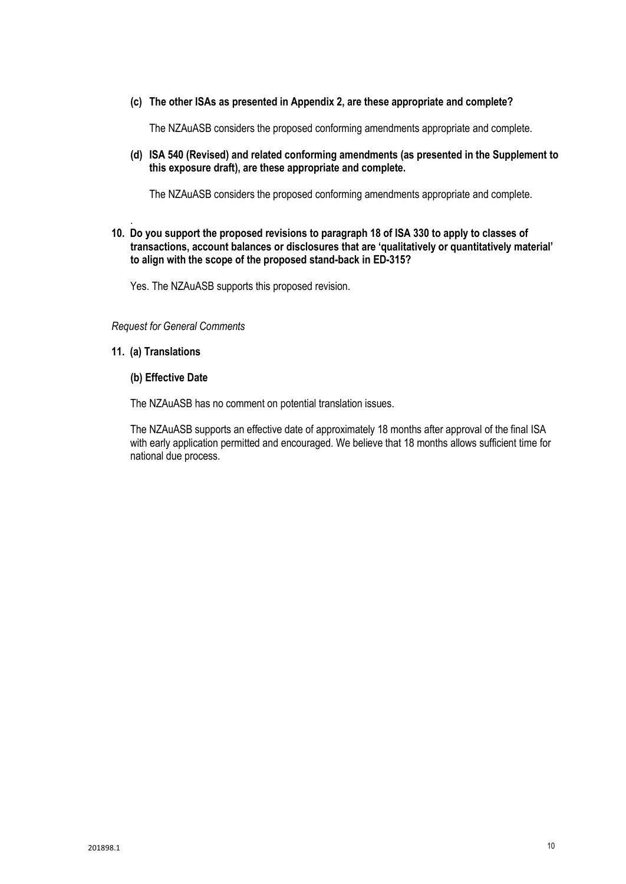#### **(c) The other ISAs as presented in Appendix 2, are these appropriate and complete?**

The NZAuASB considers the proposed conforming amendments appropriate and complete.

**(d) ISA 540 (Revised) and related conforming amendments (as presented in the Supplement to this exposure draft), are these appropriate and complete.** 

The NZAuASB considers the proposed conforming amendments appropriate and complete.

#### . **10. Do you support the proposed revisions to paragraph 18 of ISA 330 to apply to classes of transactions, account balances or disclosures that are 'qualitatively or quantitatively material' to align with the scope of the proposed stand-back in ED-315?**

Yes. The NZAuASB supports this proposed revision.

#### *Request for General Comments*

## **11. (a) Translations**

#### **(b) Effective Date**

The NZAuASB has no comment on potential translation issues.

The NZAuASB supports an effective date of approximately 18 months after approval of the final ISA with early application permitted and encouraged. We believe that 18 months allows sufficient time for national due process.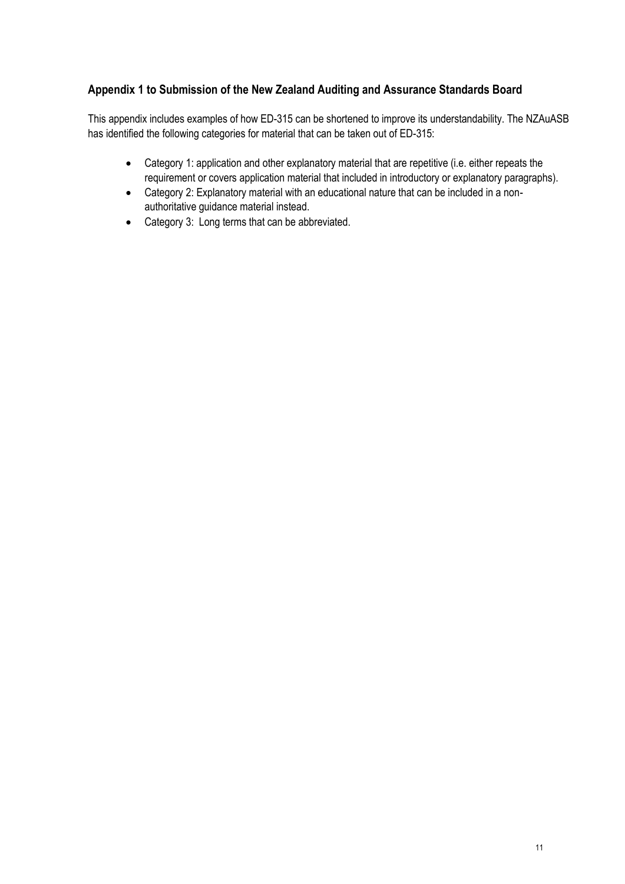## **Appendix 1 to Submission of the New Zealand Auditing and Assurance Standards Board**

This appendix includes examples of how ED-315 can be shortened to improve its understandability. The NZAuASB has identified the following categories for material that can be taken out of ED-315:

- Category 1: application and other explanatory material that are repetitive (i.e. either repeats the requirement or covers application material that included in introductory or explanatory paragraphs).
- Category 2: Explanatory material with an educational nature that can be included in a nonauthoritative guidance material instead.
- Category 3: Long terms that can be abbreviated.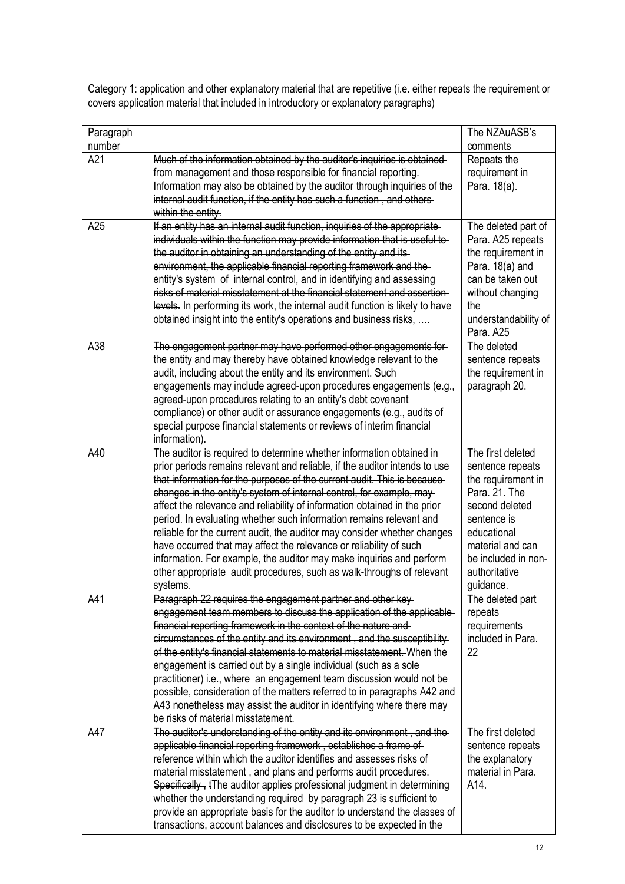| Paragraph<br>number |                                                                                                                                                                                                                                                                                                                                                                                                                                                                                                                                                                                                                                                                                                                                                                            | The NZAuASB's<br>comments                                                                                                                                                                             |
|---------------------|----------------------------------------------------------------------------------------------------------------------------------------------------------------------------------------------------------------------------------------------------------------------------------------------------------------------------------------------------------------------------------------------------------------------------------------------------------------------------------------------------------------------------------------------------------------------------------------------------------------------------------------------------------------------------------------------------------------------------------------------------------------------------|-------------------------------------------------------------------------------------------------------------------------------------------------------------------------------------------------------|
| A21                 | Much of the information obtained by the auditor's inquiries is obtained-<br>from management and those responsible for financial reporting.<br>Information may also be obtained by the auditor through inquiries of the<br>internal audit function, if the entity has such a function, and others<br>within the entity.                                                                                                                                                                                                                                                                                                                                                                                                                                                     | Repeats the<br>requirement in<br>Para. 18(a).                                                                                                                                                         |
| A25                 | If an entity has an internal audit function, inquiries of the appropriate-<br>individuals within the function may provide information that is useful to-<br>the auditor in obtaining an understanding of the entity and its<br>environment, the applicable financial reporting framework and the<br>entity's system of internal control, and in identifying and assessing<br>risks of material misstatement at the financial statement and assertion-<br>levels. In performing its work, the internal audit function is likely to have<br>obtained insight into the entity's operations and business risks,                                                                                                                                                                | The deleted part of<br>Para. A25 repeats<br>the requirement in<br>Para. 18(a) and<br>can be taken out<br>without changing<br>the<br>understandability of<br>Para. A25                                 |
| A38                 | The engagement partner may have performed other engagements for-<br>the entity and may thereby have obtained knowledge relevant to the<br>audit, including about the entity and its environment. Such<br>engagements may include agreed-upon procedures engagements (e.g.,<br>agreed-upon procedures relating to an entity's debt covenant<br>compliance) or other audit or assurance engagements (e.g., audits of<br>special purpose financial statements or reviews of interim financial<br>information).                                                                                                                                                                                                                                                                | The deleted<br>sentence repeats<br>the requirement in<br>paragraph 20.                                                                                                                                |
| A40                 | The auditor is required to determine whether information obtained in-<br>prior periods remains relevant and reliable, if the auditor intends to use<br>that information for the purposes of the current audit. This is because<br>changes in the entity's system of internal control, for example, may<br>affect the relevance and reliability of information obtained in the prior-<br>period. In evaluating whether such information remains relevant and<br>reliable for the current audit, the auditor may consider whether changes<br>have occurred that may affect the relevance or reliability of such<br>information. For example, the auditor may make inquiries and perform<br>other appropriate audit procedures, such as walk-throughs of relevant<br>systems. | The first deleted<br>sentence repeats<br>the requirement in<br>Para. 21. The<br>second deleted<br>sentence is<br>educational<br>material and can<br>be included in non-<br>authoritative<br>guidance. |
| A41                 | Paragraph 22 requires the engagement partner and other key-<br>engagement team members to discuss the application of the applicable<br>financial reporting framework in the context of the nature and<br>circumstances of the entity and its environment, and the susceptibility<br>of the entity's financial statements to material misstatement. When the<br>engagement is carried out by a single individual (such as a sole<br>practitioner) i.e., where an engagement team discussion would not be<br>possible, consideration of the matters referred to in paragraphs A42 and<br>A43 nonetheless may assist the auditor in identifying where there may<br>be risks of material misstatement.                                                                         | The deleted part<br>repeats<br>requirements<br>included in Para.<br>22                                                                                                                                |
| A47                 | The auditor's understanding of the entity and its environment, and the<br>applicable financial reporting framework, establishes a frame of<br>reference within which the auditor identifies and assesses risks of<br>material misstatement, and plans and performs audit procedures.<br>Specifically, tThe auditor applies professional judgment in determining<br>whether the understanding required by paragraph 23 is sufficient to<br>provide an appropriate basis for the auditor to understand the classes of<br>transactions, account balances and disclosures to be expected in the                                                                                                                                                                                | The first deleted<br>sentence repeats<br>the explanatory<br>material in Para.<br>A14.                                                                                                                 |

Category 1: application and other explanatory material that are repetitive (i.e. either repeats the requirement or covers application material that included in introductory or explanatory paragraphs)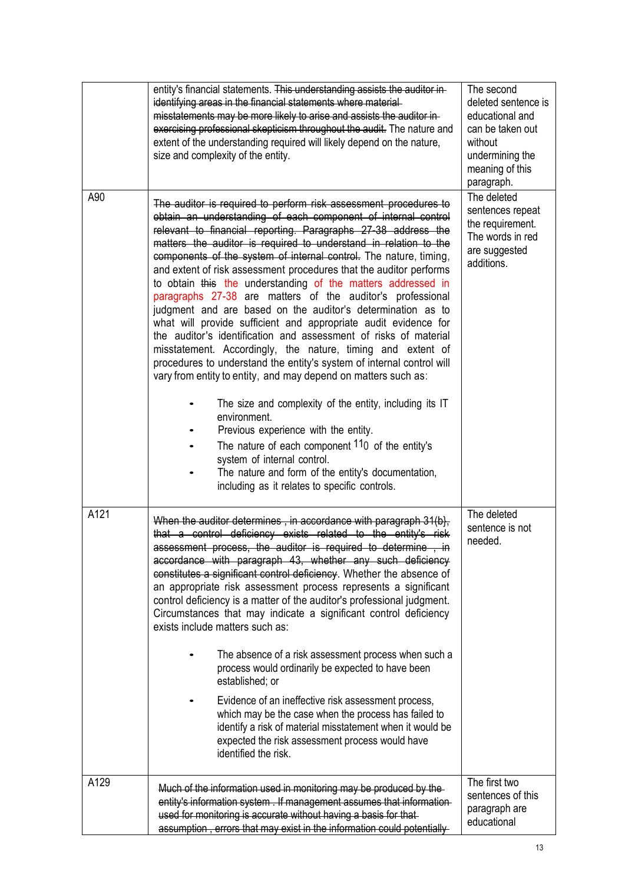|      | entity's financial statements. This understanding assists the auditor in-<br>identifying areas in the financial statements where material-<br>misstatements may be more likely to arise and assists the auditor in-<br>exercising professional skepticism throughout the audit. The nature and<br>extent of the understanding required will likely depend on the nature,<br>size and complexity of the entity.                                                                                                                                                                                                                                                                                                                                                                                                                                                                                                                                                                                                                                                                                                                                                                                                                                                                 | The second<br>deleted sentence is<br>educational and<br>can be taken out<br>without<br>undermining the<br>meaning of this<br>paragraph. |
|------|--------------------------------------------------------------------------------------------------------------------------------------------------------------------------------------------------------------------------------------------------------------------------------------------------------------------------------------------------------------------------------------------------------------------------------------------------------------------------------------------------------------------------------------------------------------------------------------------------------------------------------------------------------------------------------------------------------------------------------------------------------------------------------------------------------------------------------------------------------------------------------------------------------------------------------------------------------------------------------------------------------------------------------------------------------------------------------------------------------------------------------------------------------------------------------------------------------------------------------------------------------------------------------|-----------------------------------------------------------------------------------------------------------------------------------------|
| A90  | The auditor is required to perform risk assessment procedures to<br>obtain an understanding of each component of internal control<br>relevant to financial reporting. Paragraphs 27-38 address the<br>matters the auditor is required to understand in relation to the<br>components of the system of internal control. The nature, timing,<br>and extent of risk assessment procedures that the auditor performs<br>to obtain this the understanding of the matters addressed in<br>paragraphs 27-38 are matters of the auditor's professional<br>judgment and are based on the auditor's determination as to<br>what will provide sufficient and appropriate audit evidence for<br>the auditor's identification and assessment of risks of material<br>misstatement. Accordingly, the nature, timing and extent of<br>procedures to understand the entity's system of internal control will<br>vary from entity to entity, and may depend on matters such as:<br>The size and complexity of the entity, including its IT<br>environment.<br>Previous experience with the entity.<br>The nature of each component $110$ of the entity's<br>system of internal control.<br>The nature and form of the entity's documentation,<br>including as it relates to specific controls. | The deleted<br>sentences repeat<br>the requirement.<br>The words in red<br>are suggested<br>additions.                                  |
| A121 | When the auditor determines, in accordance with paragraph 31(b),<br>that a control deficiency exists related to the entity's risk<br>assessment process, the auditor is required to determine, in<br>accordance with paragraph 43, whether any such deficiency<br>constitutes a significant control deficiency. Whether the absence of<br>an appropriate risk assessment process represents a significant<br>control deficiency is a matter of the auditor's professional judgment.<br>Circumstances that may indicate a significant control deficiency<br>exists include matters such as:<br>The absence of a risk assessment process when such a<br>process would ordinarily be expected to have been<br>established; or<br>Evidence of an ineffective risk assessment process,<br>which may be the case when the process has failed to<br>identify a risk of material misstatement when it would be<br>expected the risk assessment process would have<br>identified the risk.                                                                                                                                                                                                                                                                                              | The deleted<br>sentence is not<br>needed.                                                                                               |
| A129 | Much of the information used in monitoring may be produced by the<br>entity's information system. If management assumes that information-<br>used for monitoring is accurate without having a basis for that-<br>assumption, errors that may exist in the information could potentially                                                                                                                                                                                                                                                                                                                                                                                                                                                                                                                                                                                                                                                                                                                                                                                                                                                                                                                                                                                        | The first two<br>sentences of this<br>paragraph are<br>educational                                                                      |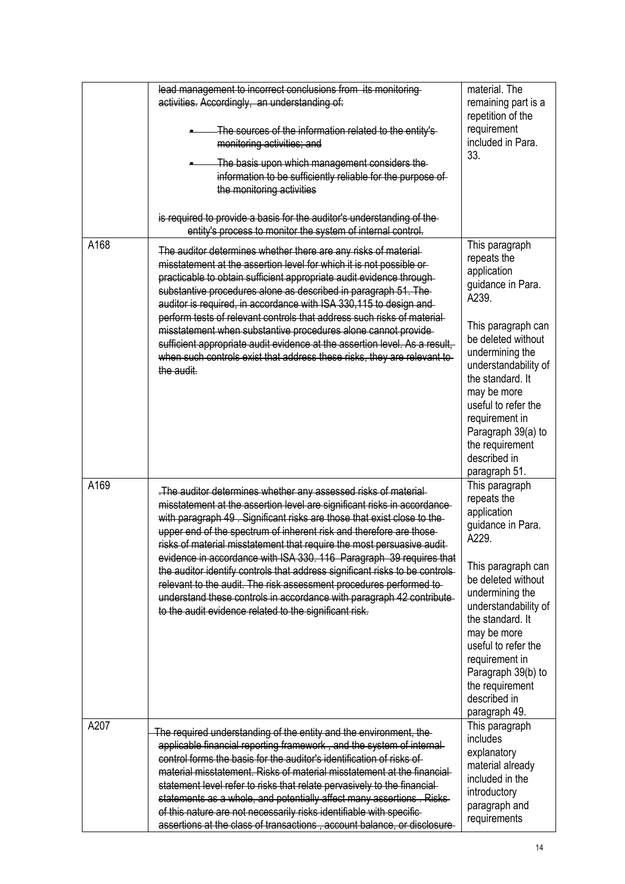|      | lead management to incorrect conclusions from its monitoring<br>activities. Accordingly, an understanding of:<br>The sources of the information related to the entity's<br>monitoring activities; and<br>The basis upon which management considers the<br>information to be sufficiently reliable for the purpose of<br>the monitoring activities                                                                                                                                                                                                                                                                                                                                                                                   | material. The<br>remaining part is a<br>repetition of the<br>requirement<br>included in Para.<br>33.                                                                                                                                                                                                                    |
|------|-------------------------------------------------------------------------------------------------------------------------------------------------------------------------------------------------------------------------------------------------------------------------------------------------------------------------------------------------------------------------------------------------------------------------------------------------------------------------------------------------------------------------------------------------------------------------------------------------------------------------------------------------------------------------------------------------------------------------------------|-------------------------------------------------------------------------------------------------------------------------------------------------------------------------------------------------------------------------------------------------------------------------------------------------------------------------|
|      | is required to provide a basis for the auditor's understanding of the<br>entity's process to monitor the system of internal control.                                                                                                                                                                                                                                                                                                                                                                                                                                                                                                                                                                                                |                                                                                                                                                                                                                                                                                                                         |
| A168 | The auditor determines whether there are any risks of material-<br>misstatement at the assertion level for which it is not possible or<br>practicable to obtain sufficient appropriate audit evidence through-<br>substantive procedures alone as described in paragraph 51. The<br>auditor is required, in accordance with ISA 330,115 to design and<br>perform tests of relevant controls that address such risks of material<br>misstatement when substantive procedures alone cannot provide-<br>sufficient appropriate audit evidence at the assertion level. As a result,<br>when such controls exist that address these risks, they are relevant to<br>the audit.                                                            | This paragraph<br>repeats the<br>application<br>guidance in Para.<br>A239.<br>This paragraph can<br>be deleted without<br>undermining the<br>understandability of<br>the standard. It<br>may be more<br>useful to refer the<br>requirement in<br>Paragraph 39(a) to<br>the requirement<br>described in<br>paragraph 51. |
| A169 | . The auditor determines whether any assessed risks of material<br>misstatement at the assertion level are significant risks in accordance<br>with paragraph 49. Significant risks are those that exist close to the<br>upper end of the spectrum of inherent risk and therefore are those<br>risks of material misstatement that require the most persuasive audit<br>evidence in accordance with ISA 330. 116 Paragraph 39 requires that<br>the auditor identify controls that address significant risks to be controls-<br>relevant to the audit. The risk assessment procedures performed to-<br>understand these controls in accordance with paragraph 42 contribute<br>to the audit evidence related to the significant risk. | This paragraph<br>repeats the<br>application<br>guidance in Para.<br>A229.<br>This paragraph can<br>be deleted without<br>undermining the<br>understandability of<br>the standard. It<br>may be more<br>useful to refer the<br>requirement in<br>Paragraph 39(b) to<br>the requirement<br>described in<br>paragraph 49. |
| A207 | The required understanding of the entity and the environment, the<br>applicable financial reporting framework, and the system of internal<br>control forms the basis for the auditor's identification of risks of<br>material misstatement. Risks of material misstatement at the financial<br>statement level refer to risks that relate pervasively to the financial-<br>statements as a whole, and potentially affect many assertions. Risks-<br>of this nature are not necessarily risks identifiable with specific-<br>assertions at the class of transactions, account balance, or disclosure-                                                                                                                                | This paragraph<br>includes<br>explanatory<br>material already<br>included in the<br>introductory<br>paragraph and<br>requirements                                                                                                                                                                                       |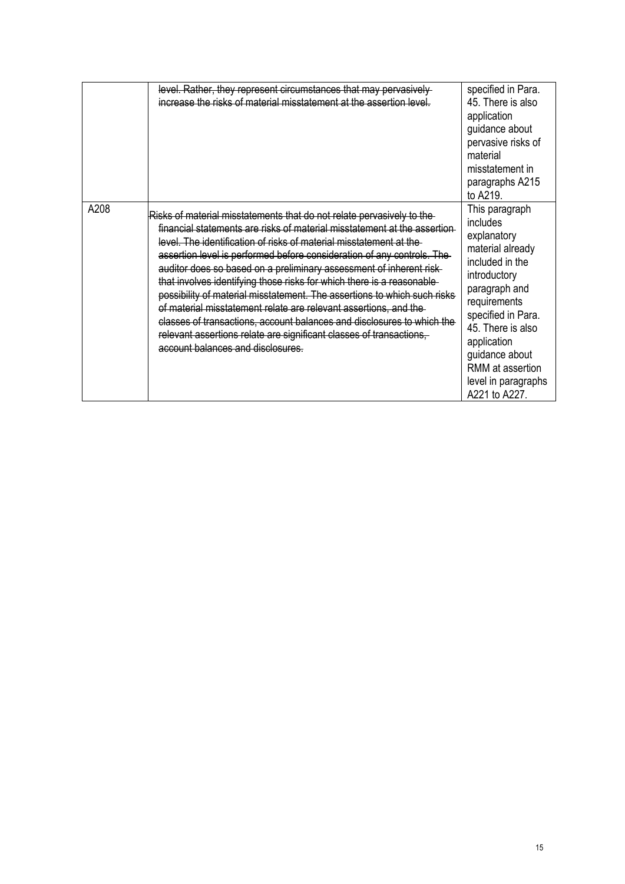|      | level. Rather, they represent circumstances that may pervasively<br>increase the risks of material misstatement at the assertion level.                                                                                                                                                                                                                                                                                                                                                                                                                                                                                                                                                                                                                                                 | specified in Para.<br>45. There is also<br>application<br>guidance about<br>pervasive risks of<br>material<br>misstatement in<br>paragraphs A215<br>to A219.                                                                                                              |
|------|-----------------------------------------------------------------------------------------------------------------------------------------------------------------------------------------------------------------------------------------------------------------------------------------------------------------------------------------------------------------------------------------------------------------------------------------------------------------------------------------------------------------------------------------------------------------------------------------------------------------------------------------------------------------------------------------------------------------------------------------------------------------------------------------|---------------------------------------------------------------------------------------------------------------------------------------------------------------------------------------------------------------------------------------------------------------------------|
| A208 | Risks of material misstatements that do not relate pervasively to the<br>financial statements are risks of material misstatement at the assertion<br>level. The identification of risks of material misstatement at the<br>assertion level is performed before consideration of any controls. The<br>auditor does so based on a preliminary assessment of inherent risk-<br>that involves identifying those risks for which there is a reasonable<br>possibility of material misstatement. The assertions to which such risks<br>of material misstatement relate are relevant assertions, and the<br>classes of transactions, account balances and disclosures to which the<br>relevant assertions relate are significant classes of transactions,<br>account balances and disclosures. | This paragraph<br>includes<br>explanatory<br>material already<br>included in the<br>introductory<br>paragraph and<br>requirements<br>specified in Para.<br>45. There is also<br>application<br>guidance about<br>RMM at assertion<br>level in paragraphs<br>A221 to A227. |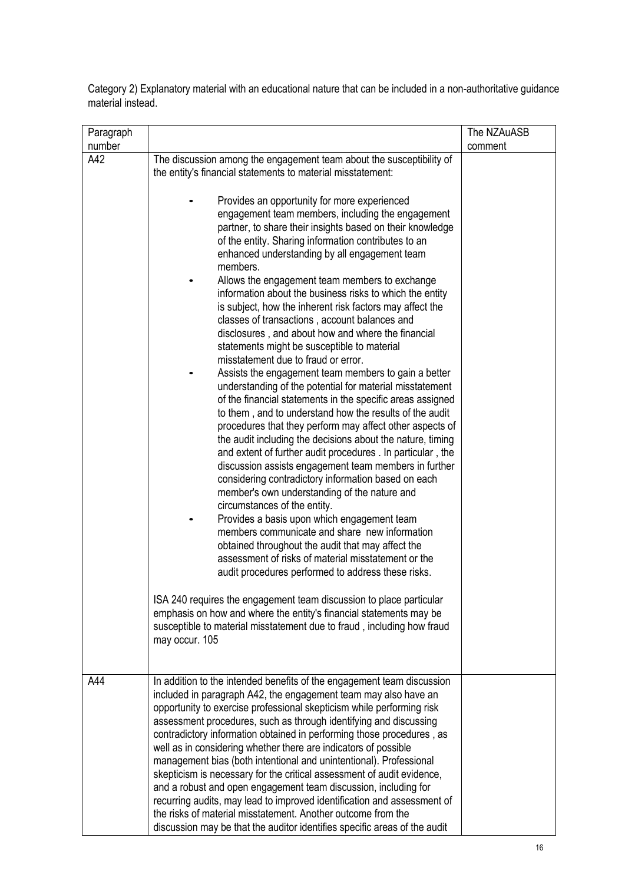Category 2) Explanatory material with an educational nature that can be included in a non-authoritative guidance material instead.

| Paragraph<br>number |                                                                                                                                                                                                                                                                                                                                                                                                                                                                                                                                                                                                                                                                                                                                                                                                                                                                                | The NZAuASB<br>comment |
|---------------------|--------------------------------------------------------------------------------------------------------------------------------------------------------------------------------------------------------------------------------------------------------------------------------------------------------------------------------------------------------------------------------------------------------------------------------------------------------------------------------------------------------------------------------------------------------------------------------------------------------------------------------------------------------------------------------------------------------------------------------------------------------------------------------------------------------------------------------------------------------------------------------|------------------------|
| A42                 | The discussion among the engagement team about the susceptibility of<br>the entity's financial statements to material misstatement:<br>Provides an opportunity for more experienced<br>engagement team members, including the engagement                                                                                                                                                                                                                                                                                                                                                                                                                                                                                                                                                                                                                                       |                        |
|                     | partner, to share their insights based on their knowledge<br>of the entity. Sharing information contributes to an<br>enhanced understanding by all engagement team<br>members.<br>Allows the engagement team members to exchange                                                                                                                                                                                                                                                                                                                                                                                                                                                                                                                                                                                                                                               |                        |
|                     | information about the business risks to which the entity<br>is subject, how the inherent risk factors may affect the<br>classes of transactions, account balances and<br>disclosures, and about how and where the financial<br>statements might be susceptible to material<br>misstatement due to fraud or error.                                                                                                                                                                                                                                                                                                                                                                                                                                                                                                                                                              |                        |
|                     | Assists the engagement team members to gain a better<br>understanding of the potential for material misstatement<br>of the financial statements in the specific areas assigned<br>to them, and to understand how the results of the audit<br>procedures that they perform may affect other aspects of<br>the audit including the decisions about the nature, timing<br>and extent of further audit procedures . In particular, the<br>discussion assists engagement team members in further<br>considering contradictory information based on each                                                                                                                                                                                                                                                                                                                             |                        |
|                     | member's own understanding of the nature and<br>circumstances of the entity.<br>Provides a basis upon which engagement team<br>members communicate and share new information<br>obtained throughout the audit that may affect the<br>assessment of risks of material misstatement or the<br>audit procedures performed to address these risks.                                                                                                                                                                                                                                                                                                                                                                                                                                                                                                                                 |                        |
|                     | ISA 240 requires the engagement team discussion to place particular<br>emphasis on how and where the entity's financial statements may be<br>susceptible to material misstatement due to fraud, including how fraud<br>may occur. 105                                                                                                                                                                                                                                                                                                                                                                                                                                                                                                                                                                                                                                          |                        |
| A44                 | In addition to the intended benefits of the engagement team discussion<br>included in paragraph A42, the engagement team may also have an<br>opportunity to exercise professional skepticism while performing risk<br>assessment procedures, such as through identifying and discussing<br>contradictory information obtained in performing those procedures, as<br>well as in considering whether there are indicators of possible<br>management bias (both intentional and unintentional). Professional<br>skepticism is necessary for the critical assessment of audit evidence,<br>and a robust and open engagement team discussion, including for<br>recurring audits, may lead to improved identification and assessment of<br>the risks of material misstatement. Another outcome from the<br>discussion may be that the auditor identifies specific areas of the audit |                        |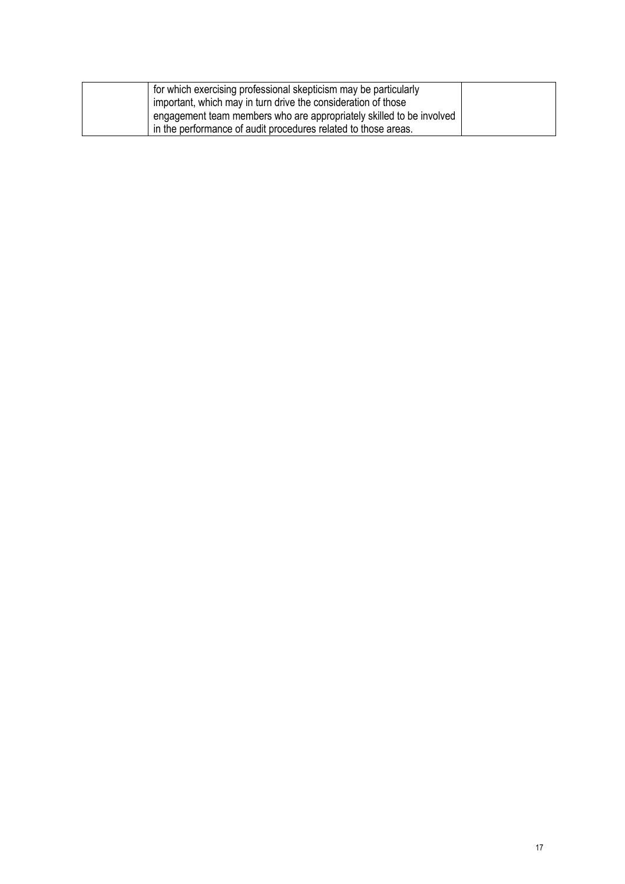| for which exercising professional skepticism may be particularly     |  |
|----------------------------------------------------------------------|--|
| important, which may in turn drive the consideration of those        |  |
| engagement team members who are appropriately skilled to be involved |  |
| in the performance of audit procedures related to those areas.       |  |